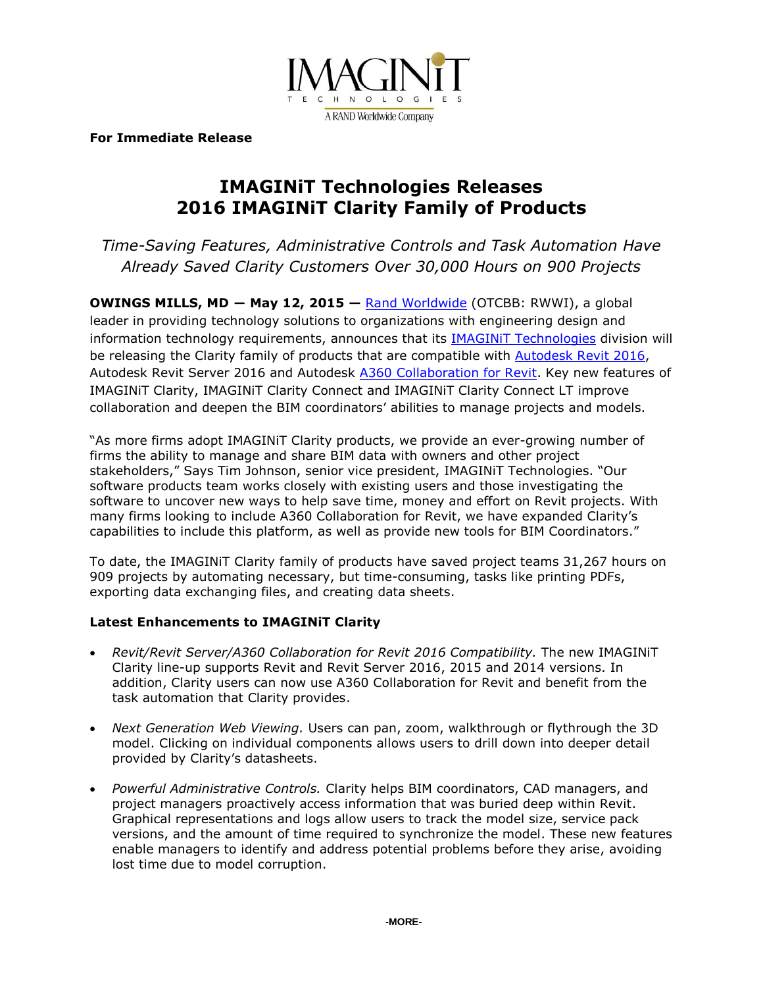

**For Immediate Release**

# **IMAGINiT Technologies Releases 2016 IMAGINiT Clarity Family of Products**

*Time-Saving Features, Administrative Controls and Task Automation Have Already Saved Clarity Customers Over 30,000 Hours on 900 Projects*

**OWINGS MILLS, MD ― May 12, 2015 —** [Rand Worldwide](http://www.rand.com/) (OTCBB: RWWI), a global leader in providing technology solutions to organizations with engineering design and information technology requirements, announces that its [IMAGINiT Technologies](http://www.imaginit.com/) division will be releasing the Clarity family of products that are compatible with [Autodesk Revit 2016,](http://www.imaginit.com/software/autodesk-products/revit) Autodesk Revit Server 2016 and Autodesk [A360 Collaboration for Revit.](http://www.imaginit.com/Software/autodesk-products/A360-collaboration-for-revit) Key new features of IMAGINiT Clarity, IMAGINiT Clarity Connect and IMAGINiT Clarity Connect LT improve collaboration and deepen the BIM coordinators' abilities to manage projects and models.

"As more firms adopt IMAGINiT Clarity products, we provide an ever-growing number of firms the ability to manage and share BIM data with owners and other project stakeholders," Says Tim Johnson, senior vice president, IMAGINiT Technologies. "Our software products team works closely with existing users and those investigating the software to uncover new ways to help save time, money and effort on Revit projects. With many firms looking to include A360 Collaboration for Revit, we have expanded Clarity's capabilities to include this platform, as well as provide new tools for BIM Coordinators."

To date, the IMAGINiT Clarity family of products have saved project teams 31,267 hours on 909 projects by automating necessary, but time-consuming, tasks like printing PDFs, exporting data exchanging files, and creating data sheets.

# **Latest Enhancements to IMAGINiT Clarity**

- *Revit/Revit Server/A360 Collaboration for Revit 2016 Compatibility.* The new IMAGINiT Clarity line-up supports Revit and Revit Server 2016, 2015 and 2014 versions. In addition, Clarity users can now use A360 Collaboration for Revit and benefit from the task automation that Clarity provides.
- *Next Generation Web Viewing.* Users can pan, zoom, walkthrough or flythrough the 3D model. Clicking on individual components allows users to drill down into deeper detail provided by Clarity's datasheets.
- *Powerful Administrative Controls.* Clarity helps BIM coordinators, CAD managers, and project managers proactively access information that was buried deep within Revit. Graphical representations and logs allow users to track the model size, service pack versions, and the amount of time required to synchronize the model. These new features enable managers to identify and address potential problems before they arise, avoiding lost time due to model corruption.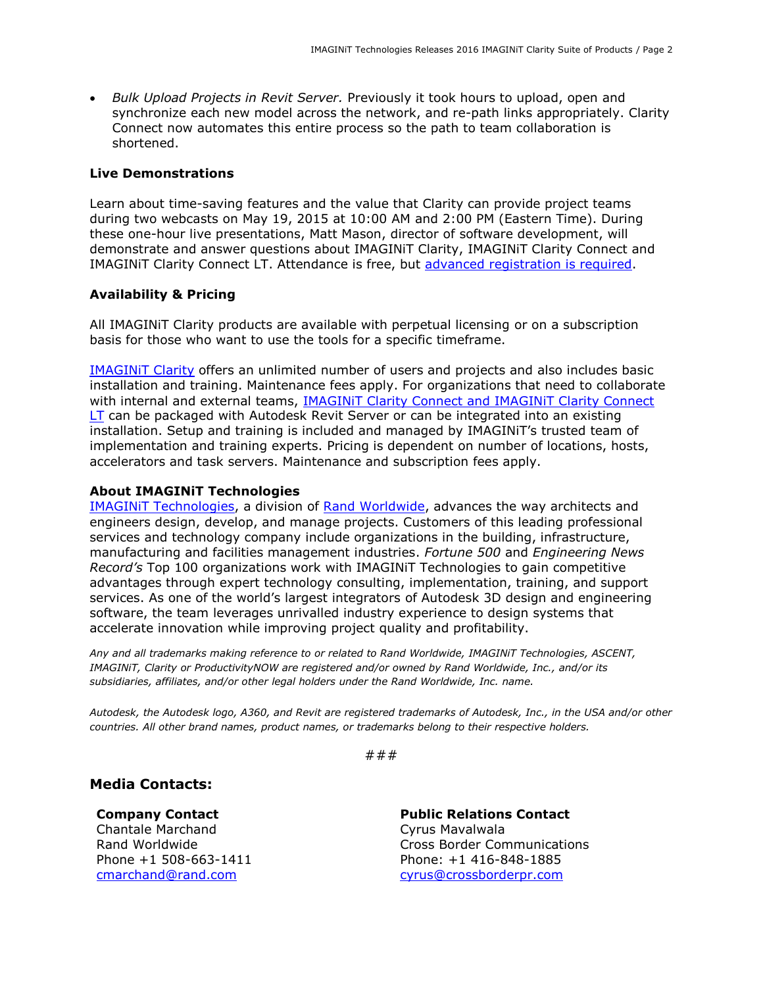*Bulk Upload Projects in Revit Server.* Previously it took hours to upload, open and synchronize each new model across the network, and re-path links appropriately. Clarity Connect now automates this entire process so the path to team collaboration is shortened.

### **Live Demonstrations**

Learn about time-saving features and the value that Clarity can provide project teams during two webcasts on May 19, 2015 at 10:00 AM and 2:00 PM (Eastern Time). During these one-hour live presentations, Matt Mason, director of software development, will demonstrate and answer questions about IMAGINiT Clarity, IMAGINiT Clarity Connect and IMAGINiT Clarity Connect LT. Attendance is free, but [advanced registration](http://www.imaginit.com/events) is required.

## **Availability & Pricing**

All IMAGINiT Clarity products are available with perpetual licensing or on a subscription basis for those who want to use the tools for a specific timeframe.

[IMAGINiT Clarity](http://www.imaginit.com/software-solutions/building-architecture/imaginit-clarity) offers an unlimited number of users and projects and also includes basic installation and training. Maintenance fees apply. For organizations that need to collaborate with internal and external teams, [IMAGINiT Clarity Connect and IMAGINiT Clarity Connect](http://www.imaginit.com/software-solutions/building-architecture/imaginit-clarity-connect)  [LT](http://www.imaginit.com/software-solutions/building-architecture/imaginit-clarity-connect) can be packaged with Autodesk Revit Server or can be integrated into an existing installation. Setup and training is included and managed by IMAGINiT's trusted team of implementation and training experts. Pricing is dependent on number of locations, hosts, accelerators and task servers. Maintenance and subscription fees apply.

### **About IMAGINiT Technologies**

IMAGINIT Technologies, a division of [Rand Worldwide,](http://www.rand.com/) advances the way architects and engineers design, develop, and manage projects. Customers of this leading professional services and technology company include organizations in the building, infrastructure, manufacturing and facilities management industries. *Fortune 500* and *Engineering News Record's* Top 100 organizations work with IMAGINiT Technologies to gain competitive advantages through expert technology consulting, implementation, training, and support services. As one of the world's largest integrators of Autodesk 3D design and engineering software, the team leverages unrivalled industry experience to design systems that accelerate innovation while improving project quality and profitability.

*Any and all trademarks making reference to or related to Rand Worldwide, IMAGINiT Technologies, ASCENT, IMAGINiT, Clarity or ProductivityNOW are registered and/or owned by Rand Worldwide, Inc., and/or its subsidiaries, affiliates, and/or other legal holders under the Rand Worldwide, Inc. name.* 

*Autodesk, the Autodesk logo, A360, and Revit are registered trademarks of Autodesk, Inc., in the USA and/or other countries. All other brand names, product names, or trademarks belong to their respective holders.*

###

# **Media Contacts:**

**Company Contact** Chantale Marchand

**Public Relations Contact** Cyrus Mavalwala Rand Worldwide Cross Border Communications Phone +1 508-663-1411 Phone: +1 416-848-1885 [cmarchand@rand.com](mailto:cmarchand@rand.com) [cyrus@crossborderpr.com](mailto:cyrus@crossborderpr.com)